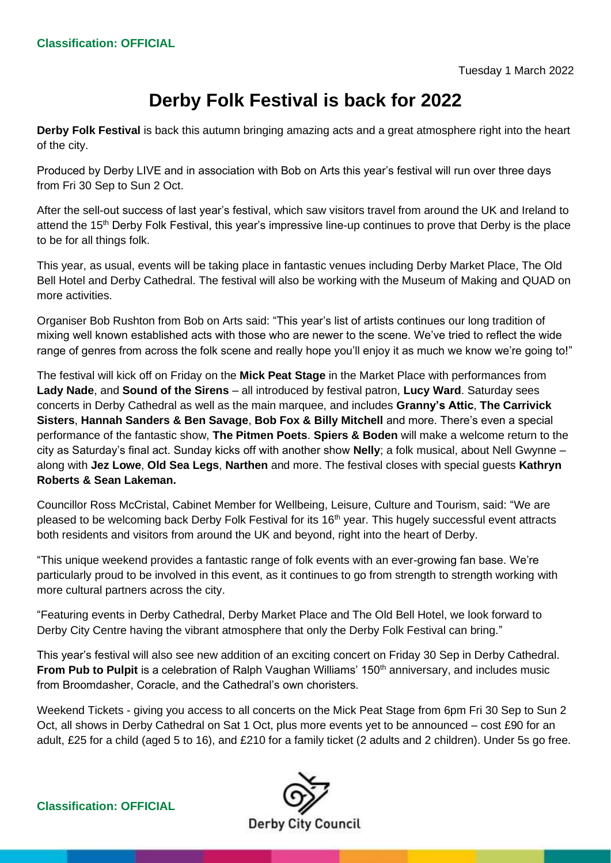## **Derby Folk Festival is back for 2022**

**Derby Folk Festival** is back this autumn bringing amazing acts and a great atmosphere right into the heart of the city.

Produced by Derby LIVE and in association with Bob on Arts this year's festival will run over three days from Fri 30 Sep to Sun 2 Oct.

After the sell-out success of last year's festival, which saw visitors travel from around the UK and Ireland to attend the 15<sup>th</sup> Derby Folk Festival, this year's impressive line-up continues to prove that Derby is the place to be for all things folk.

This year, as usual, events will be taking place in fantastic venues including Derby Market Place, The Old Bell Hotel and Derby Cathedral. The festival will also be working with the Museum of Making and QUAD on more activities.

Organiser Bob Rushton from Bob on Arts said: "This year's list of artists continues our long tradition of mixing well known established acts with those who are newer to the scene. We've tried to reflect the wide range of genres from across the folk scene and really hope you'll enjoy it as much we know we're going to!"

The festival will kick off on Friday on the **Mick Peat Stage** in the Market Place with performances from **Lady Nade**, and **Sound of the Sirens** – all introduced by festival patron, **Lucy Ward**. Saturday sees concerts in Derby Cathedral as well as the main marquee, and includes **Granny's Attic**, **The Carrivick Sisters**, **Hannah Sanders & Ben Savage**, **Bob Fox & Billy Mitchell** and more. There's even a special performance of the fantastic show, **The Pitmen Poets**. **Spiers & Boden** will make a welcome return to the city as Saturday's final act. Sunday kicks off with another show **Nelly**; a folk musical, about Nell Gwynne – along with **Jez Lowe**, **Old Sea Legs**, **Narthen** and more. The festival closes with special guests **Kathryn Roberts & Sean Lakeman.**

Councillor Ross McCristal, Cabinet Member for Wellbeing, Leisure, Culture and Tourism, said: "We are pleased to be welcoming back Derby Folk Festival for its 16<sup>th</sup> year. This hugely successful event attracts both residents and visitors from around the UK and beyond, right into the heart of Derby.

"This unique weekend provides a fantastic range of folk events with an ever-growing fan base. We're particularly proud to be involved in this event, as it continues to go from strength to strength working with more cultural partners across the city.

"Featuring events in Derby Cathedral, Derby Market Place and The Old Bell Hotel, we look forward to Derby City Centre having the vibrant atmosphere that only the Derby Folk Festival can bring."

This year's festival will also see new addition of an exciting concert on Friday 30 Sep in Derby Cathedral. From Pub to Pulpit is a celebration of Ralph Vaughan Williams' 150<sup>th</sup> anniversary, and includes music from Broomdasher, Coracle, and the Cathedral's own choristers.

Weekend Tickets - giving you access to all concerts on the Mick Peat Stage from 6pm Fri 30 Sep to Sun 2 Oct, all shows in Derby Cathedral on Sat 1 Oct, plus more events yet to be announced – cost £90 for an adult, £25 for a child (aged 5 to 16), and £210 for a family ticket (2 adults and 2 children). Under 5s go free.

**Classification: OFFICIAL**